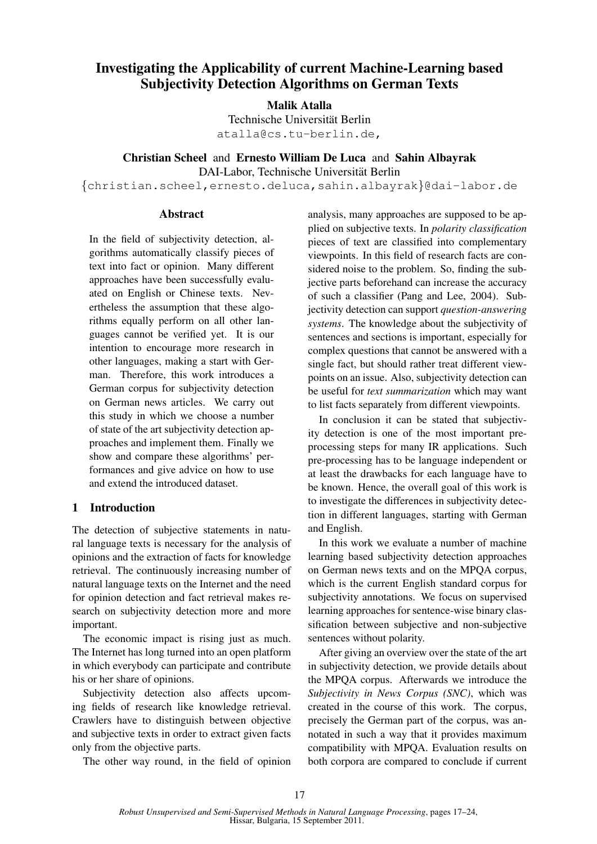# Investigating the Applicability of current Machine-Learning based Subjectivity Detection Algorithms on German Texts

# Malik Atalla

Technische Universität Berlin atalla@cs.tu-berlin.de,

Christian Scheel and Ernesto William De Luca and Sahin Albayrak

DAI-Labor, Technische Universität Berlin

{christian.scheel,ernesto.deluca,sahin.albayrak}@dai-labor.de

## Abstract

In the field of subjectivity detection, algorithms automatically classify pieces of text into fact or opinion. Many different approaches have been successfully evaluated on English or Chinese texts. Nevertheless the assumption that these algorithms equally perform on all other languages cannot be verified yet. It is our intention to encourage more research in other languages, making a start with German. Therefore, this work introduces a German corpus for subjectivity detection on German news articles. We carry out this study in which we choose a number of state of the art subjectivity detection approaches and implement them. Finally we show and compare these algorithms' performances and give advice on how to use and extend the introduced dataset.

# 1 Introduction

The detection of subjective statements in natural language texts is necessary for the analysis of opinions and the extraction of facts for knowledge retrieval. The continuously increasing number of natural language texts on the Internet and the need for opinion detection and fact retrieval makes research on subjectivity detection more and more important.

The economic impact is rising just as much. The Internet has long turned into an open platform in which everybody can participate and contribute his or her share of opinions.

Subjectivity detection also affects upcoming fields of research like knowledge retrieval. Crawlers have to distinguish between objective and subjective texts in order to extract given facts only from the objective parts.

The other way round, in the field of opinion

analysis, many approaches are supposed to be applied on subjective texts. In *polarity classification* pieces of text are classified into complementary viewpoints. In this field of research facts are considered noise to the problem. So, finding the subjective parts beforehand can increase the accuracy of such a classifier (Pang and Lee, 2004). Subjectivity detection can support *question-answering systems*. The knowledge about the subjectivity of sentences and sections is important, especially for complex questions that cannot be answered with a single fact, but should rather treat different viewpoints on an issue. Also, subjectivity detection can be useful for *text summarization* which may want to list facts separately from different viewpoints.

In conclusion it can be stated that subjectivity detection is one of the most important preprocessing steps for many IR applications. Such pre-processing has to be language independent or at least the drawbacks for each language have to be known. Hence, the overall goal of this work is to investigate the differences in subjectivity detection in different languages, starting with German and English.

In this work we evaluate a number of machine learning based subjectivity detection approaches on German news texts and on the MPQA corpus, which is the current English standard corpus for subjectivity annotations. We focus on supervised learning approaches for sentence-wise binary classification between subjective and non-subjective sentences without polarity.

After giving an overview over the state of the art in subjectivity detection, we provide details about the MPQA corpus. Afterwards we introduce the *Subjectivity in News Corpus (SNC)*, which was created in the course of this work. The corpus, precisely the German part of the corpus, was annotated in such a way that it provides maximum compatibility with MPQA. Evaluation results on both corpora are compared to conclude if current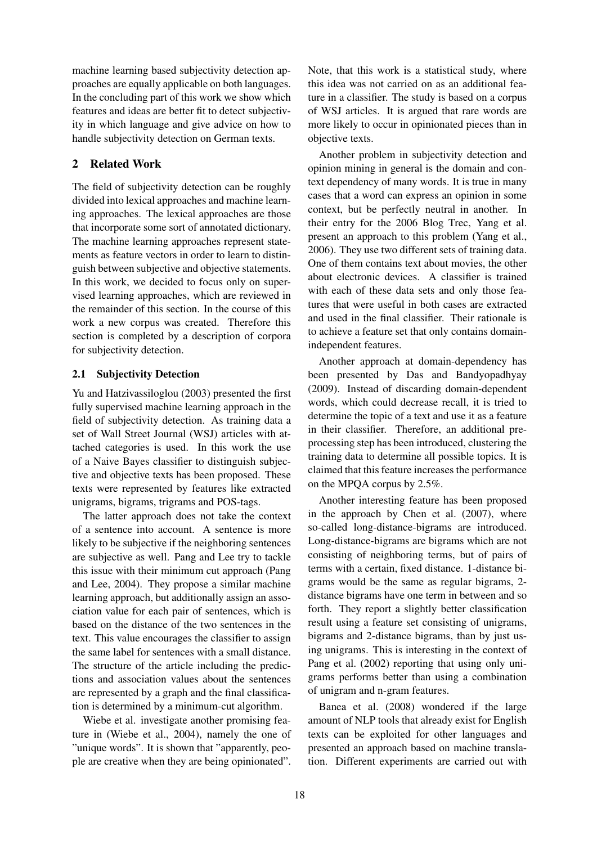machine learning based subjectivity detection approaches are equally applicable on both languages. In the concluding part of this work we show which features and ideas are better fit to detect subjectivity in which language and give advice on how to handle subjectivity detection on German texts.

## 2 Related Work

The field of subjectivity detection can be roughly divided into lexical approaches and machine learning approaches. The lexical approaches are those that incorporate some sort of annotated dictionary. The machine learning approaches represent statements as feature vectors in order to learn to distinguish between subjective and objective statements. In this work, we decided to focus only on supervised learning approaches, which are reviewed in the remainder of this section. In the course of this work a new corpus was created. Therefore this section is completed by a description of corpora for subjectivity detection.

## 2.1 Subjectivity Detection

Yu and Hatzivassiloglou (2003) presented the first fully supervised machine learning approach in the field of subjectivity detection. As training data a set of Wall Street Journal (WSJ) articles with attached categories is used. In this work the use of a Naive Bayes classifier to distinguish subjective and objective texts has been proposed. These texts were represented by features like extracted unigrams, bigrams, trigrams and POS-tags.

The latter approach does not take the context of a sentence into account. A sentence is more likely to be subjective if the neighboring sentences are subjective as well. Pang and Lee try to tackle this issue with their minimum cut approach (Pang and Lee, 2004). They propose a similar machine learning approach, but additionally assign an association value for each pair of sentences, which is based on the distance of the two sentences in the text. This value encourages the classifier to assign the same label for sentences with a small distance. The structure of the article including the predictions and association values about the sentences are represented by a graph and the final classification is determined by a minimum-cut algorithm.

Wiebe et al. investigate another promising feature in (Wiebe et al., 2004), namely the one of "unique words". It is shown that "apparently, people are creative when they are being opinionated".

Note, that this work is a statistical study, where this idea was not carried on as an additional feature in a classifier. The study is based on a corpus of WSJ articles. It is argued that rare words are more likely to occur in opinionated pieces than in objective texts.

Another problem in subjectivity detection and opinion mining in general is the domain and context dependency of many words. It is true in many cases that a word can express an opinion in some context, but be perfectly neutral in another. In their entry for the 2006 Blog Trec, Yang et al. present an approach to this problem (Yang et al., 2006). They use two different sets of training data. One of them contains text about movies, the other about electronic devices. A classifier is trained with each of these data sets and only those features that were useful in both cases are extracted and used in the final classifier. Their rationale is to achieve a feature set that only contains domainindependent features.

Another approach at domain-dependency has been presented by Das and Bandyopadhyay (2009). Instead of discarding domain-dependent words, which could decrease recall, it is tried to determine the topic of a text and use it as a feature in their classifier. Therefore, an additional preprocessing step has been introduced, clustering the training data to determine all possible topics. It is claimed that this feature increases the performance on the MPQA corpus by 2.5%.

Another interesting feature has been proposed in the approach by Chen et al. (2007), where so-called long-distance-bigrams are introduced. Long-distance-bigrams are bigrams which are not consisting of neighboring terms, but of pairs of terms with a certain, fixed distance. 1-distance bigrams would be the same as regular bigrams, 2 distance bigrams have one term in between and so forth. They report a slightly better classification result using a feature set consisting of unigrams, bigrams and 2-distance bigrams, than by just using unigrams. This is interesting in the context of Pang et al. (2002) reporting that using only unigrams performs better than using a combination of unigram and n-gram features.

Banea et al. (2008) wondered if the large amount of NLP tools that already exist for English texts can be exploited for other languages and presented an approach based on machine translation. Different experiments are carried out with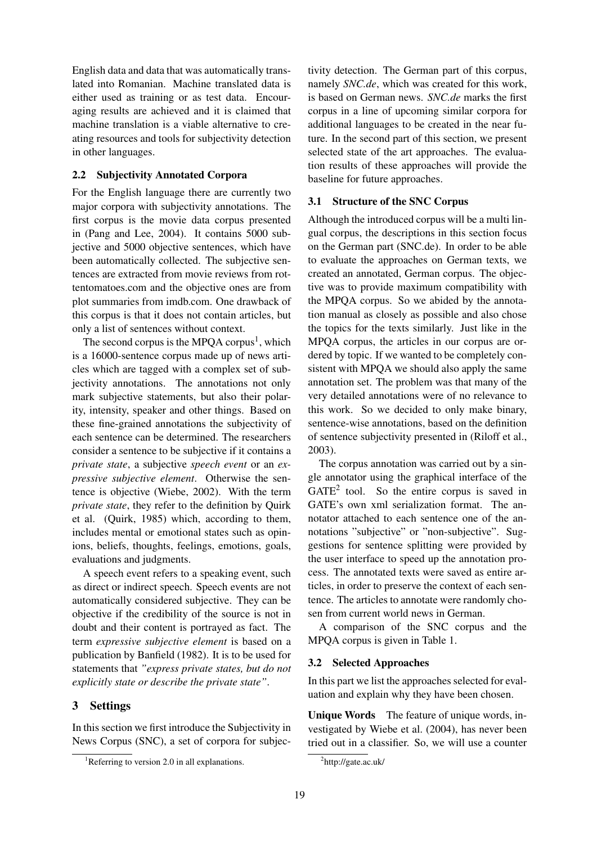English data and data that was automatically translated into Romanian. Machine translated data is either used as training or as test data. Encouraging results are achieved and it is claimed that machine translation is a viable alternative to creating resources and tools for subjectivity detection in other languages.

#### 2.2 Subjectivity Annotated Corpora

For the English language there are currently two major corpora with subjectivity annotations. The first corpus is the movie data corpus presented in (Pang and Lee, 2004). It contains 5000 subjective and 5000 objective sentences, which have been automatically collected. The subjective sentences are extracted from movie reviews from rottentomatoes.com and the objective ones are from plot summaries from imdb.com. One drawback of this corpus is that it does not contain articles, but only a list of sentences without context.

The second corpus is the MPQA corpus<sup>1</sup>, which is a 16000-sentence corpus made up of news articles which are tagged with a complex set of subjectivity annotations. The annotations not only mark subjective statements, but also their polarity, intensity, speaker and other things. Based on these fine-grained annotations the subjectivity of each sentence can be determined. The researchers consider a sentence to be subjective if it contains a *private state*, a subjective *speech event* or an *expressive subjective element*. Otherwise the sentence is objective (Wiebe, 2002). With the term *private state*, they refer to the definition by Quirk et al. (Quirk, 1985) which, according to them, includes mental or emotional states such as opinions, beliefs, thoughts, feelings, emotions, goals, evaluations and judgments.

A speech event refers to a speaking event, such as direct or indirect speech. Speech events are not automatically considered subjective. They can be objective if the credibility of the source is not in doubt and their content is portrayed as fact. The term *expressive subjective element* is based on a publication by Banfield (1982). It is to be used for statements that *"express private states, but do not explicitly state or describe the private state"*.

## 3 Settings

In this section we first introduce the Subjectivity in News Corpus (SNC), a set of corpora for subjectivity detection. The German part of this corpus, namely *SNC.de*, which was created for this work, is based on German news. *SNC.de* marks the first corpus in a line of upcoming similar corpora for additional languages to be created in the near future. In the second part of this section, we present selected state of the art approaches. The evaluation results of these approaches will provide the baseline for future approaches.

#### 3.1 Structure of the SNC Corpus

Although the introduced corpus will be a multi lingual corpus, the descriptions in this section focus on the German part (SNC.de). In order to be able to evaluate the approaches on German texts, we created an annotated, German corpus. The objective was to provide maximum compatibility with the MPQA corpus. So we abided by the annotation manual as closely as possible and also chose the topics for the texts similarly. Just like in the MPQA corpus, the articles in our corpus are ordered by topic. If we wanted to be completely consistent with MPQA we should also apply the same annotation set. The problem was that many of the very detailed annotations were of no relevance to this work. So we decided to only make binary, sentence-wise annotations, based on the definition of sentence subjectivity presented in (Riloff et al., 2003).

The corpus annotation was carried out by a single annotator using the graphical interface of the  $GATE<sup>2</sup>$  tool. So the entire corpus is saved in GATE's own xml serialization format. The annotator attached to each sentence one of the annotations "subjective" or "non-subjective". Suggestions for sentence splitting were provided by the user interface to speed up the annotation process. The annotated texts were saved as entire articles, in order to preserve the context of each sentence. The articles to annotate were randomly chosen from current world news in German.

A comparison of the SNC corpus and the MPQA corpus is given in Table 1.

#### 3.2 Selected Approaches

In this part we list the approaches selected for evaluation and explain why they have been chosen.

Unique Words The feature of unique words, investigated by Wiebe et al. (2004), has never been tried out in a classifier. So, we will use a counter

<sup>&</sup>lt;sup>1</sup>Referring to version 2.0 in all explanations.

<sup>2</sup> http://gate.ac.uk/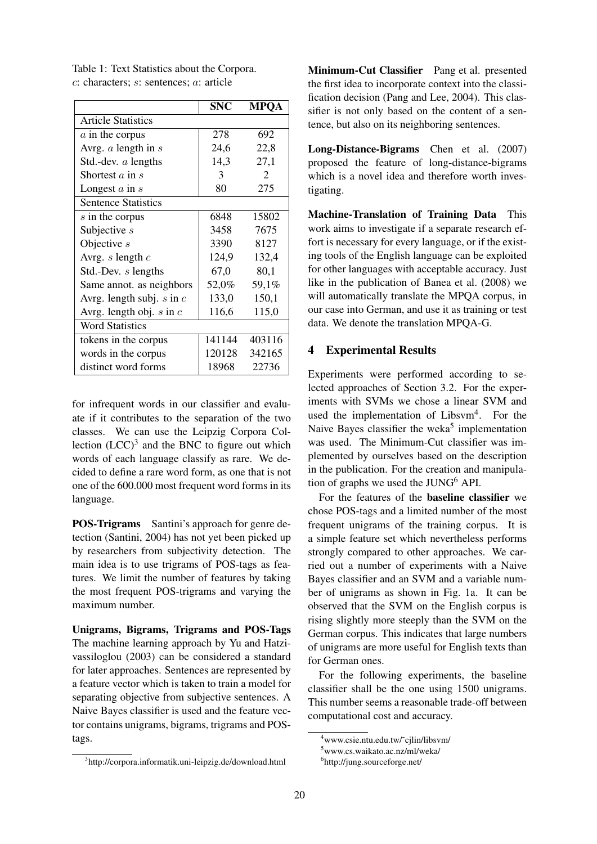Table 1: Text Statistics about the Corpora. c: characters; s: sentences; a: article

|                               | <b>SNC</b> | <b>MPOA</b>                 |
|-------------------------------|------------|-----------------------------|
| <b>Article Statistics</b>     |            |                             |
| $\alpha$ in the corpus        | 278        | 692                         |
| Avrg. $a$ length in $s$       | 24,6       | 22,8                        |
| Std.-dev. $a$ lengths         | 14,3       | 27,1                        |
| Shortest $a$ in $s$           | 3          | $\mathcal{D}_{\mathcal{L}}$ |
| Longest $a$ in $s$            | 80         | 275                         |
| <b>Sentence Statistics</b>    |            |                             |
| s in the corpus               | 6848       | 15802                       |
| Subjective $s$                | 3458       | 7675                        |
| Objective $s$                 | 3390       | 8127                        |
| Avrg. $s$ length $c$          | 124,9      | 132,4                       |
| Std.-Dev. s lengths           | 67,0       | 80,1                        |
| Same annot. as neighbors      | 52,0%      | 59,1%                       |
| Avrg. length subj. $s$ in $c$ | 133,0      | 150,1                       |
| Avrg. length obj. $s$ in $c$  | 116,6      | 115,0                       |
| <b>Word Statistics</b>        |            |                             |
| tokens in the corpus          | 141144     | 403116                      |
| words in the corpus           | 120128     | 342165                      |
| distinct word forms           | 18968      | 22736                       |

for infrequent words in our classifier and evaluate if it contributes to the separation of the two classes. We can use the Leipzig Corpora Collection  $(LCC)^3$  and the BNC to figure out which words of each language classify as rare. We decided to define a rare word form, as one that is not one of the 600.000 most frequent word forms in its language.

POS-Trigrams Santini's approach for genre detection (Santini, 2004) has not yet been picked up by researchers from subjectivity detection. The main idea is to use trigrams of POS-tags as features. We limit the number of features by taking the most frequent POS-trigrams and varying the maximum number.

Unigrams, Bigrams, Trigrams and POS-Tags The machine learning approach by Yu and Hatzivassiloglou (2003) can be considered a standard for later approaches. Sentences are represented by a feature vector which is taken to train a model for separating objective from subjective sentences. A Naive Bayes classifier is used and the feature vector contains unigrams, bigrams, trigrams and POStags.

3 http://corpora.informatik.uni-leipzig.de/download.html

Minimum-Cut Classifier Pang et al. presented the first idea to incorporate context into the classification decision (Pang and Lee, 2004). This classifier is not only based on the content of a sentence, but also on its neighboring sentences.

Long-Distance-Bigrams Chen et al. (2007) proposed the feature of long-distance-bigrams which is a novel idea and therefore worth investigating.

Machine-Translation of Training Data This work aims to investigate if a separate research effort is necessary for every language, or if the existing tools of the English language can be exploited for other languages with acceptable accuracy. Just like in the publication of Banea et al. (2008) we will automatically translate the MPQA corpus, in our case into German, and use it as training or test data. We denote the translation MPQA-G.

## 4 Experimental Results

Experiments were performed according to selected approaches of Section 3.2. For the experiments with SVMs we chose a linear SVM and used the implementation of Libsvm<sup>4</sup>. For the Naive Bayes classifier the weka<sup>5</sup> implementation was used. The Minimum-Cut classifier was implemented by ourselves based on the description in the publication. For the creation and manipulation of graphs we used the  $JUNG<sup>6</sup> API$ .

For the features of the baseline classifier we chose POS-tags and a limited number of the most frequent unigrams of the training corpus. It is a simple feature set which nevertheless performs strongly compared to other approaches. We carried out a number of experiments with a Naive Bayes classifier and an SVM and a variable number of unigrams as shown in Fig. 1a. It can be observed that the SVM on the English corpus is rising slightly more steeply than the SVM on the German corpus. This indicates that large numbers of unigrams are more useful for English texts than for German ones.

For the following experiments, the baseline classifier shall be the one using 1500 unigrams. This number seems a reasonable trade-off between computational cost and accuracy.

<sup>4</sup>www.csie.ntu.edu.tw/˜cjlin/libsvm/

<sup>5</sup>www.cs.waikato.ac.nz/ml/weka/

<sup>6</sup> http://jung.sourceforge.net/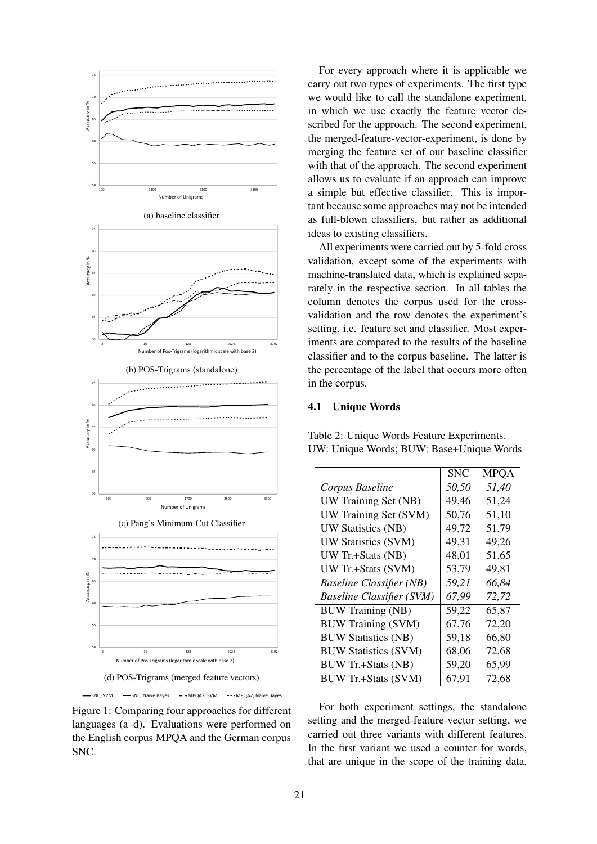

Figure 1: Comparing four approaches for different languages (a–d). Evaluations were performed on the English corpus MPQA and the German corpus SNC.

For every approach where it is applicable we carry out two types of experiments. The first type we would like to call the standalone experiment, in which we use exactly the feature vector described for the approach. The second experiment, the merged-feature-vector-experiment, is done by merging the feature set of our baseline classifier with that of the approach. The second experiment allows us to evaluate if an approach can improve a simple but effective classifier. This is important because some approaches may not be intended as full-blown classifiers, but rather as additional ideas to existing classifiers.

All experiments were carried out by 5-fold cross validation, except some of the experiments with machine-translated data, which is explained separately in the respective section. In all tables the column denotes the corpus used for the crossvalidation and the row denotes the experiment's setting, i.e. feature set and classifier. Most experiments are compared to the results of the baseline classifier and to the corpus baseline. The latter is the percentage of the label that occurs more often in the corpus.

#### 4.1 Unique Words

|                                  | <b>SNC</b> | <b>MPQA</b> |
|----------------------------------|------------|-------------|
| Corpus Baseline                  | 50,50      | 51,40       |
| UW Training Set (NB)             | 49,46      | 51,24       |
| UW Training Set (SVM)            | 50,76      | 51,10       |
| <b>UW Statistics (NB)</b>        | 49,72      | 51,79       |
| UW Statistics (SVM)              | 49,31      | 49,26       |
| UW Tr.+Stats (NB)                | 48,01      | 51,65       |
| UW Tr.+Stats (SVM)               | 53,79      | 49,81       |
| <b>Baseline Classifier (NB)</b>  | 59,21      | 66,84       |
| <b>Baseline Classifier (SVM)</b> | 67,99      | 72,72       |
| <b>BUW Training (NB)</b>         | 59,22      | 65,87       |
| <b>BUW Training (SVM)</b>        | 67,76      | 72,20       |
| <b>BUW Statistics (NB)</b>       | 59,18      | 66,80       |
| <b>BUW Statistics (SVM)</b>      | 68,06      | 72,68       |
| <b>BUW Tr.+Stats (NB)</b>        | 59,20      | 65,99       |
| <b>BUW Tr.+Stats (SVM)</b>       | 67,91      | 72,68       |

Table 2: Unique Words Feature Experiments. UW: Unique Words; BUW: Base+Unique Words

For both experiment settings, the standalone setting and the merged-feature-vector setting, we carried out three variants with different features. In the first variant we used a counter for words, that are unique in the scope of the training data,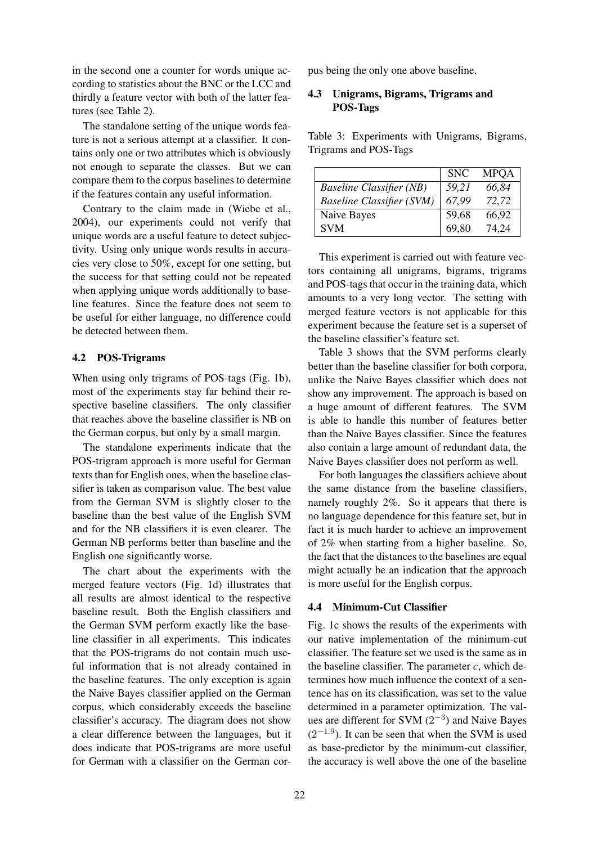in the second one a counter for words unique according to statistics about the BNC or the LCC and thirdly a feature vector with both of the latter features (see Table 2).

The standalone setting of the unique words feature is not a serious attempt at a classifier. It contains only one or two attributes which is obviously not enough to separate the classes. But we can compare them to the corpus baselines to determine if the features contain any useful information.

Contrary to the claim made in (Wiebe et al., 2004), our experiments could not verify that unique words are a useful feature to detect subjectivity. Using only unique words results in accuracies very close to 50%, except for one setting, but the success for that setting could not be repeated when applying unique words additionally to baseline features. Since the feature does not seem to be useful for either language, no difference could be detected between them.

#### 4.2 POS-Trigrams

When using only trigrams of POS-tags (Fig. 1b), most of the experiments stay far behind their respective baseline classifiers. The only classifier that reaches above the baseline classifier is NB on the German corpus, but only by a small margin.

The standalone experiments indicate that the POS-trigram approach is more useful for German texts than for English ones, when the baseline classifier is taken as comparison value. The best value from the German SVM is slightly closer to the baseline than the best value of the English SVM and for the NB classifiers it is even clearer. The German NB performs better than baseline and the English one significantly worse.

The chart about the experiments with the merged feature vectors (Fig. 1d) illustrates that all results are almost identical to the respective baseline result. Both the English classifiers and the German SVM perform exactly like the baseline classifier in all experiments. This indicates that the POS-trigrams do not contain much useful information that is not already contained in the baseline features. The only exception is again the Naive Bayes classifier applied on the German corpus, which considerably exceeds the baseline classifier's accuracy. The diagram does not show a clear difference between the languages, but it does indicate that POS-trigrams are more useful for German with a classifier on the German corpus being the only one above baseline.

## 4.3 Unigrams, Bigrams, Trigrams and POS-Tags

Table 3: Experiments with Unigrams, Bigrams, Trigrams and POS-Tags

|                                  | <b>SNC</b> | <b>MPOA</b> |
|----------------------------------|------------|-------------|
| <b>Baseline Classifier (NB)</b>  | 59.21      | 66,84       |
| <b>Baseline Classifier (SVM)</b> | 67.99      | 72,72       |
| Naive Bayes                      | 59,68      | 66,92       |
| <b>SVM</b>                       | 69,80      | 74.24       |

This experiment is carried out with feature vectors containing all unigrams, bigrams, trigrams and POS-tags that occur in the training data, which amounts to a very long vector. The setting with merged feature vectors is not applicable for this experiment because the feature set is a superset of the baseline classifier's feature set.

Table 3 shows that the SVM performs clearly better than the baseline classifier for both corpora, unlike the Naive Bayes classifier which does not show any improvement. The approach is based on a huge amount of different features. The SVM is able to handle this number of features better than the Naive Bayes classifier. Since the features also contain a large amount of redundant data, the Naive Bayes classifier does not perform as well.

For both languages the classifiers achieve about the same distance from the baseline classifiers, namely roughly 2%. So it appears that there is no language dependence for this feature set, but in fact it is much harder to achieve an improvement of 2% when starting from a higher baseline. So, the fact that the distances to the baselines are equal might actually be an indication that the approach is more useful for the English corpus.

#### 4.4 Minimum-Cut Classifier

Fig. 1c shows the results of the experiments with our native implementation of the minimum-cut classifier. The feature set we used is the same as in the baseline classifier. The parameter  $c$ , which determines how much influence the context of a sentence has on its classification, was set to the value determined in a parameter optimization. The values are different for SVM  $(2^{-3})$  and Naive Bayes  $(2^{-1.9})$ . It can be seen that when the SVM is used as base-predictor by the minimum-cut classifier, the accuracy is well above the one of the baseline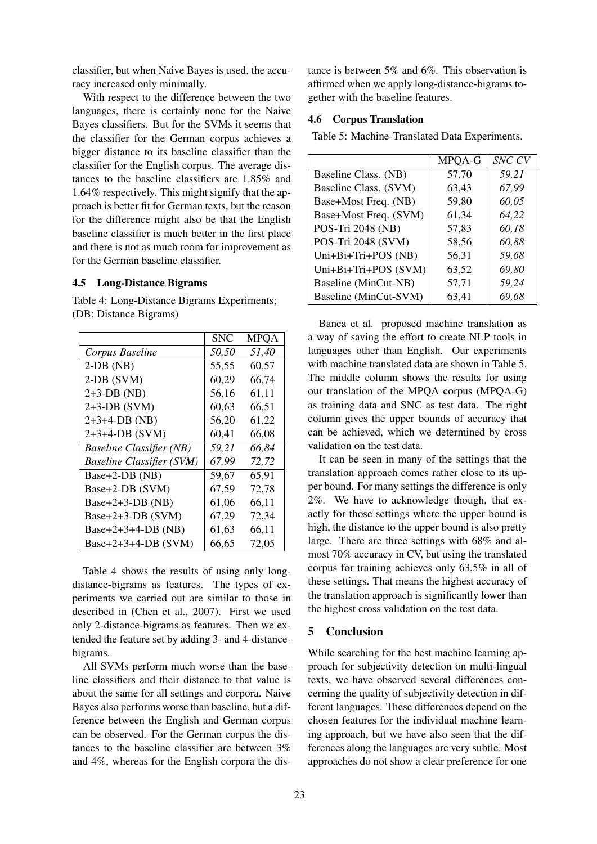classifier, but when Naive Bayes is used, the accuracy increased only minimally.

With respect to the difference between the two languages, there is certainly none for the Naive Bayes classifiers. But for the SVMs it seems that the classifier for the German corpus achieves a bigger distance to its baseline classifier than the classifier for the English corpus. The average distances to the baseline classifiers are 1.85% and 1.64% respectively. This might signify that the approach is better fit for German texts, but the reason for the difference might also be that the English baseline classifier is much better in the first place and there is not as much room for improvement as for the German baseline classifier.

## 4.5 Long-Distance Bigrams

Table 4: Long-Distance Bigrams Experiments; (DB: Distance Bigrams)

|                                  | SNC   | <b>MPQA</b> |
|----------------------------------|-------|-------------|
| Corpus Baseline                  | 50,50 | 51,40       |
| $2-DB(NB)$                       | 55,55 | 60,57       |
| $2-DB$ (SVM)                     | 60,29 | 66,74       |
| $2+3-DB(NB)$                     | 56,16 | 61,11       |
| $2+3-DB$ (SVM)                   | 60,63 | 66,51       |
| $2+3+4-DB$ (NB)                  | 56,20 | 61,22       |
| $2+3+4-DB$ (SVM)                 | 60,41 | 66,08       |
| <b>Baseline Classifier (NB)</b>  | 59,21 | 66,84       |
| <b>Baseline Classifier (SVM)</b> | 67,99 | 72,72       |
| Base+2-DB (NB)                   | 59,67 | 65,91       |
| Base+2-DB (SVM)                  | 67,59 | 72,78       |
| Base+2+3-DB $(NB)$               | 61,06 | 66,11       |
| Base+2+3-DB $(SVM)$              | 67,29 | 72,34       |
| Base+2+3+4-DB $(NB)$             | 61,63 | 66,11       |
| Base+2+3+4-DB $(SVM)$            | 66,65 | 72,05       |

Table 4 shows the results of using only longdistance-bigrams as features. The types of experiments we carried out are similar to those in described in (Chen et al., 2007). First we used only 2-distance-bigrams as features. Then we extended the feature set by adding 3- and 4-distancebigrams.

All SVMs perform much worse than the baseline classifiers and their distance to that value is about the same for all settings and corpora. Naive Bayes also performs worse than baseline, but a difference between the English and German corpus can be observed. For the German corpus the distances to the baseline classifier are between 3% and 4%, whereas for the English corpora the distance is between 5% and 6%. This observation is affirmed when we apply long-distance-bigrams together with the baseline features.

#### 4.6 Corpus Translation

Table 5: Machine-Translated Data Experiments.

|                       | MPQA-G | SNC CV |
|-----------------------|--------|--------|
| Baseline Class. (NB)  | 57,70  | 59,21  |
| Baseline Class. (SVM) | 63,43  | 67,99  |
| Base+Most Freq. (NB)  | 59,80  | 60,05  |
| Base+Most Freq. (SVM) | 61,34  | 64,22  |
| POS-Tri 2048 (NB)     | 57,83  | 60,18  |
| POS-Tri 2048 (SVM)    | 58,56  | 60,88  |
| Uni+Bi+Tri+POS (NB)   | 56,31  | 59,68  |
| Uni+Bi+Tri+POS (SVM)  | 63,52  | 69,80  |
| Baseline (MinCut-NB)  | 57,71  | 59,24  |
| Baseline (MinCut-SVM) | 63,41  | 69.68  |

Banea et al. proposed machine translation as a way of saving the effort to create NLP tools in languages other than English. Our experiments with machine translated data are shown in Table 5. The middle column shows the results for using our translation of the MPQA corpus (MPQA-G) as training data and SNC as test data. The right column gives the upper bounds of accuracy that can be achieved, which we determined by cross validation on the test data.

It can be seen in many of the settings that the translation approach comes rather close to its upper bound. For many settings the difference is only 2%. We have to acknowledge though, that exactly for those settings where the upper bound is high, the distance to the upper bound is also pretty large. There are three settings with 68% and almost 70% accuracy in CV, but using the translated corpus for training achieves only 63,5% in all of these settings. That means the highest accuracy of the translation approach is significantly lower than the highest cross validation on the test data.

## 5 Conclusion

While searching for the best machine learning approach for subjectivity detection on multi-lingual texts, we have observed several differences concerning the quality of subjectivity detection in different languages. These differences depend on the chosen features for the individual machine learning approach, but we have also seen that the differences along the languages are very subtle. Most approaches do not show a clear preference for one